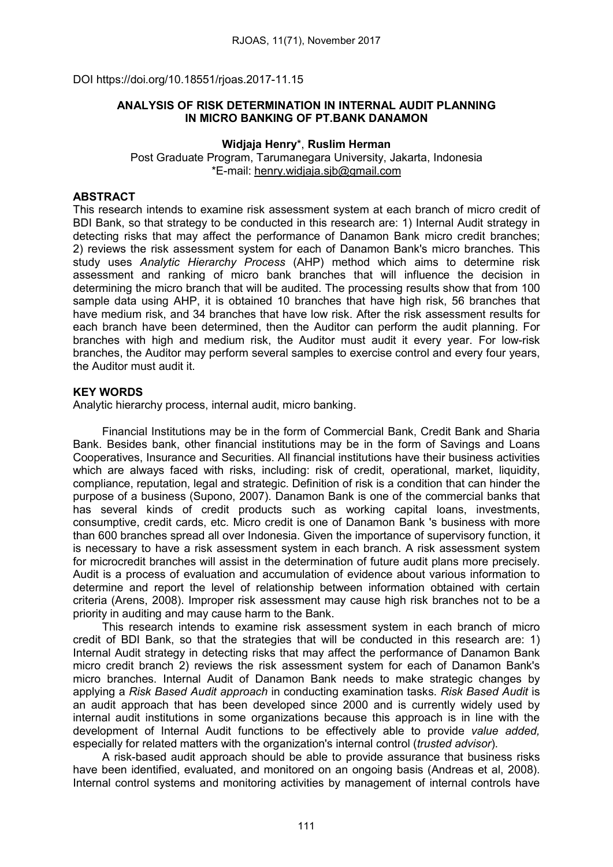DOI https://doi.org/10.18551/rjoas.2017-11.15

## ANALYSIS OF RISK DETERMINATION IN INTERNAL AUDIT PLANNING IN MICRO BANKING OF PT.BANK DANAMON

#### Widjaja Henry\*, Ruslim Herman

Post Graduate Program, Tarumanegara University, Jakarta, Indonesia \*E-mail: [henry.widjaja.sjb@gmail.com](mailto:henry.widjaja.sjb@gmail.com)

# ABSTRACT

This research intends to examine risk assessment system at each branch of micro credit of BDI Bank, so that strategy to be conducted in this research are: 1) Internal Audit strategy in detecting risks that may affect the performance of Danamon Bank micro credit branches; 2) reviews the risk assessment system for each of Danamon Bank's micro branches. This study uses *Analytic Hierarchy Process* (AHP) method which aims to determine risk assessment and ranking of micro bank branches that will influence the decision in determining the micro branch that will be audited. The processing results show that from 100 sample data using AHP, it is obtained 10 branches that have high risk, 56 branches that have medium risk, and 34 branches that have low risk. After the risk assessment results for each branch have been determined, then the Auditor can perform the audit planning. For branches with high and medium risk, the Auditor must audit it every year. For low-risk branches, the Auditor may perform several samples to exercise control and every four years, the Auditor must audit it.

## KEY WORDS

Analytic hierarchy process, internal audit, micro banking.

Financial Institutions may be in the form of Commercial Bank, Credit Bank and Sharia Bank. Besides bank, other financial institutions may be in the form of Savings and Loans Cooperatives, Insurance and Securities. All financial institutions have their business activities which are always faced with risks, including: risk of credit, operational, market, liquidity, compliance, reputation, legal and strategic. Definition of risk is a condition that can hinder the purpose of a business (Supono, 2007). Danamon Bank is one of the commercial banks that has several kinds of credit products such as working capital loans, investments, consumptive, credit cards, etc. Micro credit is one of Danamon Bank 's business with more than 600 branches spread all over Indonesia. Given the importance of supervisory function, it is necessary to have a risk assessment system in each branch. A risk assessment system for microcredit branches will assist in the determination of future audit plans more precisely. Audit is a process of evaluation and accumulation of evidence about various information to determine and report the level of relationship between information obtained with certain criteria (Arens, 2008). Improper risk assessment may cause high risk branches not to be a priority in auditing and may cause harm to the Bank.

This research intends to examine risk assessment system in each branch of micro credit of BDI Bank, so that the strategies that will be conducted in this research are: 1) Internal Audit strategy in detecting risks that may affect the performance of Danamon Bank micro credit branch 2) reviews the risk assessment system for each of Danamon Bank's micro branches. Internal Audit of Danamon Bank needs to make strategic changes by applying a *Risk Based Audit approach* in conducting examination tasks. *Risk Based Audit* is an audit approach that has been developed since 2000 and is currently widely used by internal audit institutions in some organizations because this approach is in line with the development of Internal Audit functions to be effectively able to provide *value added,* especially for related matters with the organization's internal control (*trusted advisor*).

A risk-based audit approach should be able to provide assurance that business risks have been identified, evaluated, and monitored on an ongoing basis (Andreas et al, 2008). Internal control systems and monitoring activities by management of internal controls have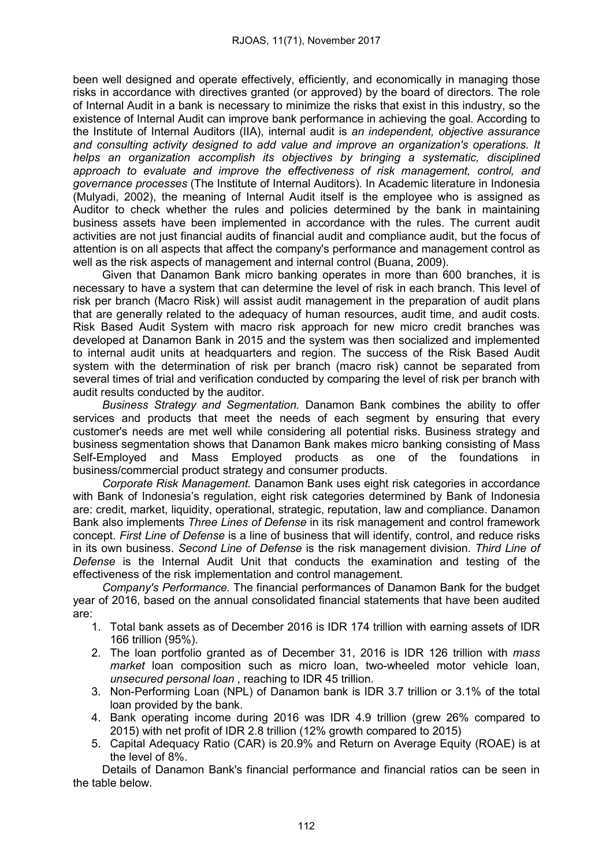been well designed and operate effectively, efficiently, and economically in managing those risks in accordance with directives granted (or approved) by the board of directors. The role of Internal Audit in a bank is necessary to minimize the risks that exist in this industry, so the existence of Internal Audit can improve bank performance in achieving the goal. According to the Institute of Internal Auditors (IIA), internal audit is *an independent, objective assurance and consulting activity designed to add value and improve an organization's operations. It helps an organization accomplish its objectives by bringing a systematic, disciplined approach to evaluate and improve the effectiveness of risk management, control, and governance processes* (The Institute of Internal Auditors)*.* In Academic literature in Indonesia (Mulyadi, 2002), the meaning of Internal Audit itself is the employee who is assigned as Auditor to check whether the rules and policies determined by the bank in maintaining business assets have been implemented in accordance with the rules. The current audit activities are not just financial audits of financial audit and compliance audit, but the focus of attention is on all aspects that affect the company's performance and management control as well as the risk aspects of management and internal control (Buana, 2009).

Given that Danamon Bank micro banking operates in more than 600 branches, it is necessary to have a system that can determine the level of risk in each branch. This level of risk per branch (Macro Risk) will assist audit management in the preparation of audit plans that are generally related to the adequacy of human resources, audit time, and audit costs. Risk Based Audit System with macro risk approach for new micro credit branches was developed at Danamon Bank in 2015 and the system was then socialized and implemented to internal audit units at headquarters and region. The success of the Risk Based Audit system with the determination of risk per branch (macro risk) cannot be separated from several times of trial and verification conducted by comparing the level of risk per branch with audit results conducted by the auditor.

*Business Strategy and Segmentation.* Danamon Bank combines the ability to offer services and products that meet the needs of each segment by ensuring that every customer's needs are met well while considering all potential risks. Business strategy and business segmentation shows that Danamon Bank makes micro banking consisting of Mass Self-Employed and Mass Employed products as one of the foundations in business/commercial product strategy and consumer products.

*Corporate Risk Management.* Danamon Bank uses eight risk categories in accordance with Bank of Indonesia's regulation, eight risk categories determined by Bank of Indonesia are: credit, market, liquidity, operational, strategic, reputation, law and compliance. Danamon Bank also implements *Three Lines of Defense* in its risk management and control framework concept. *First Line of Defense* is a line of business that will identify, control, and reduce risks in its own business. *Second Line of Defense* is the risk management division. *Third Line of Defense* is the Internal Audit Unit that conducts the examination and testing of the effectiveness of the risk implementation and control management.

*Company's Performance.* The financial performances of Danamon Bank for the budget year of 2016, based on the annual consolidated financial statements that have been audited are:

- 1. Total bank assets as of December 2016 is IDR 174 trillion with earning assets of IDR 166 trillion (95%).
- 2. The loan portfolio granted as of December 31, 2016 is IDR 126 trillion with *mass market* loan composition such as micro loan, two-wheeled motor vehicle loan, *unsecured personal loan* , reaching to IDR 45 trillion.
- 3. Non-Performing Loan (NPL) of Danamon bank is IDR 3.7 trillion or 3.1% of the total loan provided by the bank.
- 4. Bank operating income during 2016 was IDR 4.9 trillion (grew 26% compared to 2015) with net profit of IDR 2.8 trillion (12% growth compared to 2015)
- 5. Capital Adequacy Ratio (CAR) is 20.9% and Return on Average Equity (ROAE) is at the level of 8%.

Details of Danamon Bank's financial performance and financial ratios can be seen in the table below.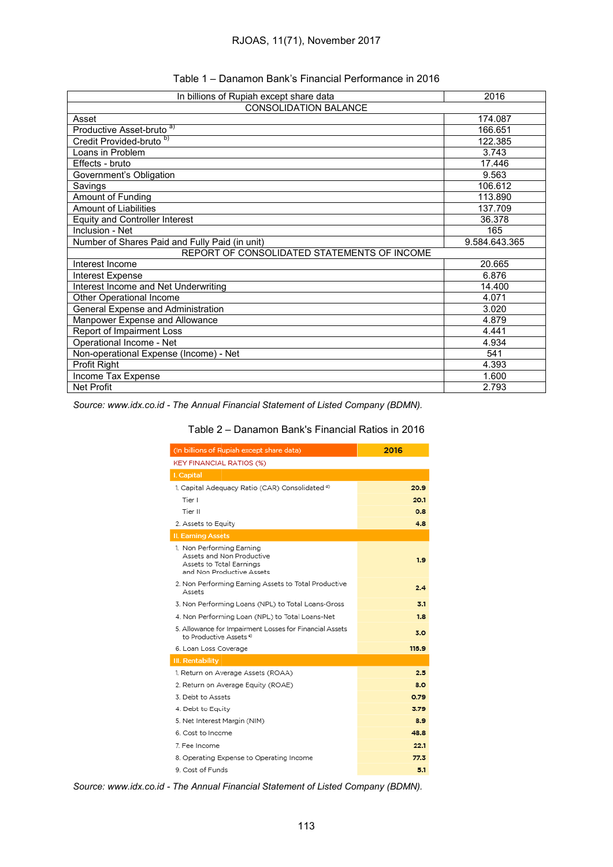| Table 1 – Danamon Bank's Financial Performance in 2016 |  |  |  |
|--------------------------------------------------------|--|--|--|
|--------------------------------------------------------|--|--|--|

| In billions of Rupiah except share data        | 2016          |
|------------------------------------------------|---------------|
| <b>CONSOLIDATION BALANCE</b>                   |               |
| Asset                                          | 174.087       |
| Productive Asset-bruto <sup>a)</sup>           | 166.651       |
| Credit Provided-bruto <sup>b)</sup>            | 122.385       |
| Loans in Problem                               | 3.743         |
| Effects - bruto                                | 17.446        |
| Government's Obligation                        | 9.563         |
| Savings                                        | 106.612       |
| Amount of Funding                              | 113.890       |
| Amount of Liabilities                          | 137.709       |
| <b>Equity and Controller Interest</b>          | 36.378        |
| Inclusion - Net                                | 165           |
| Number of Shares Paid and Fully Paid (in unit) | 9.584.643.365 |
| REPORT OF CONSOLIDATED STATEMENTS OF INCOME    |               |
| Interest Income                                | 20.665        |
| Interest Expense                               | 6.876         |
| Interest Income and Net Underwriting           | 14.400        |
| Other Operational Income                       | 4.071         |
| <b>General Expense and Administration</b>      | 3.020         |
| Manpower Expense and Allowance                 | 4.879         |
| Report of Impairment Loss                      | 4.441         |
| Operational Income - Net                       | 4.934         |
| Non-operational Expense (Income) - Net         | 541           |
| Profit Right                                   | 4.393         |
| Income Tax Expense                             | 1.600         |
| <b>Net Profit</b>                              | 2.793         |

*Source: www.idx.co.id - The Annual Financial Statement of Listed Company (BDMN).*

| (In billions of Rupiah except share data)                                                                       | 2016  |
|-----------------------------------------------------------------------------------------------------------------|-------|
| <b>KEY FINANCIAL RATIOS (%)</b>                                                                                 |       |
| I. Capital                                                                                                      |       |
| 1. Capital Adequacy Ratio (CAR) Consolidated <sup>d)</sup>                                                      | 20.9  |
| Tier I                                                                                                          | 20.1  |
| Tier II                                                                                                         | 0.8   |
| 2. Assets to Equity                                                                                             | 4.8   |
| <b>II. Earning Assets</b>                                                                                       |       |
| 1. Non Performing Earning<br>Assets and Non Productive<br>Assets to Total Earnings<br>and Non Productive Assets | 1.9   |
| 2. Non Performing Earning Assets to Total Productive<br>Assets                                                  | 2.4   |
| 3. Non Performing Loans (NPL) to Total Loans-Gross                                                              | 3.1   |
| 4. Non Performing Loan (NPL) to Total Loans-Net                                                                 | 1.8   |
| 5. Allowance for Impairment Losses for Financial Assets<br>to Productive Assets <sup>®</sup>                    | 3.0   |
| 6. Loan Loss Coverage                                                                                           | 116.9 |
| <b>III. Rentability</b>                                                                                         |       |
| 1. Return on Average Assets (ROAA)                                                                              | 2.5   |
| 2. Return on Average Equity (ROAE)                                                                              | 8.0   |
| 3. Debt to Assets                                                                                               | 0.79  |
| 4. Debt to Equity                                                                                               | 3.79  |
| 5. Net Interest Margin (NIM)                                                                                    | 8.9   |
| 6. Cost to Income                                                                                               | 48.8  |
| 7. Fee Income                                                                                                   | 22.1  |
| 8. Operating Expense to Operating Income                                                                        | 77.3  |
| 9. Cost of Funds                                                                                                | 5.1   |

*Source: www.idx.co.id - The Annual Financial Statement of Listed Company (BDMN).*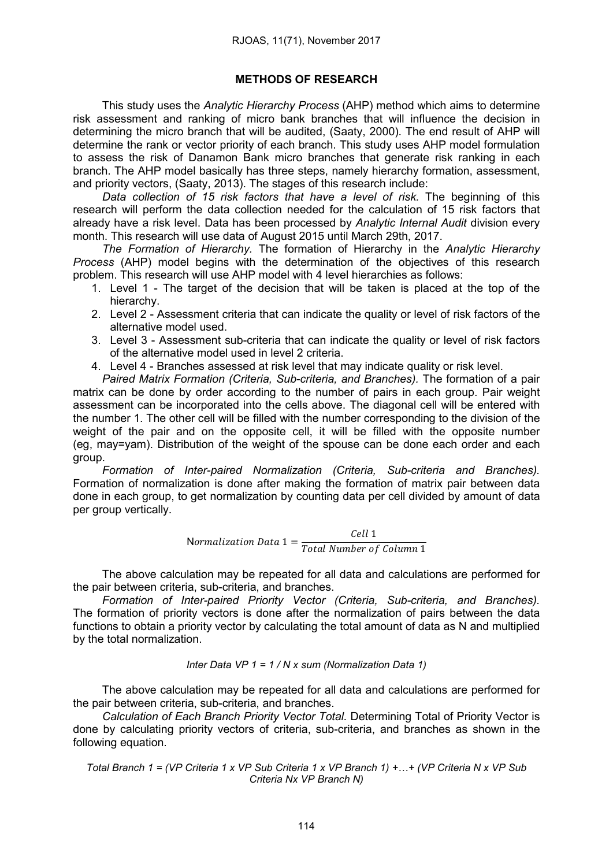## METHODS OF RESEARCH

This study uses the *Analytic Hierarchy Process* (AHP) method which aims to determine risk assessment and ranking of micro bank branches that will influence the decision in determining the micro branch that will be audited, (Saaty, 2000). The end result of AHP will determine the rank or vector priority of each branch. This study uses AHP model formulation to assess the risk of Danamon Bank micro branches that generate risk ranking in each branch. The AHP model basically has three steps, namely hierarchy formation, assessment, and priority vectors, (Saaty, 2013). The stages of this research include:

*Data collection of 15 risk factors that have a level of risk.* The beginning of this research will perform the data collection needed for the calculation of 15 risk factors that already have a risk level. Data has been processed by *Analytic Internal Audit* division every month. This research will use data of August 2015 until March 29th, 2017.

*The Formation of Hierarchy.* The formation of Hierarchy in the *Analytic Hierarchy Process* (AHP) model begins with the determination of the objectives of this research problem. This research will use AHP model with 4 level hierarchies as follows:

- 1. Level 1 The target of the decision that will be taken is placed at the top of the hierarchy.
- 2. Level 2 Assessment criteria that can indicate the quality or level of risk factors of the alternative model used.
- 3. Level 3 Assessment sub-criteria that can indicate the quality or level of risk factors of the alternative model used in level 2 criteria.
- 4. Level 4 Branches assessed at risk level that may indicate quality or risk level.

*Paired Matrix Formation (Criteria, Sub-criteria, and Branches).* The formation of a pair matrix can be done by order according to the number of pairs in each group. Pair weight assessment can be incorporated into the cells above. The diagonal cell will be entered with the number 1. The other cell will be filled with the number corresponding to the division of the weight of the pair and on the opposite cell, it will be filled with the opposite number (eg, may=yam). Distribution of the weight of the spouse can be done each order and each group.

*Formation of Inter-paired Normalization (Criteria, Sub-criteria and Branches).*  Formation of normalization is done after making the formation of matrix pair between data done in each group, to get normalization by counting data per cell divided by amount of data per group vertically.

Normalization Data 
$$
1 = \frac{Cell \, 1}{Total \, Number \, of \, Column \, 1}
$$

The above calculation may be repeated for all data and calculations are performed for the pair between criteria, sub-criteria, and branches.

*Formation of Inter-paired Priority Vector (Criteria, Sub-criteria, and Branches).* The formation of priority vectors is done after the normalization of pairs between the data functions to obtain a priority vector by calculating the total amount of data as N and multiplied by the total normalization.

#### *Inter Data VP 1 = 1 / N x sum (Normalization Data 1)*

The above calculation may be repeated for all data and calculations are performed for the pair between criteria, sub-criteria, and branches.

*Calculation of Each Branch Priority Vector Total.* Determining Total of Priority Vector is done by calculating priority vectors of criteria, sub-criteria, and branches as shown in the following equation.

Total Branch 1 = (VP Criteria 1 x VP Sub Criteria 1 x VP Branch 1) +...+ (VP Criteria N x VP Sub *Criteria Nx VP Branch N)*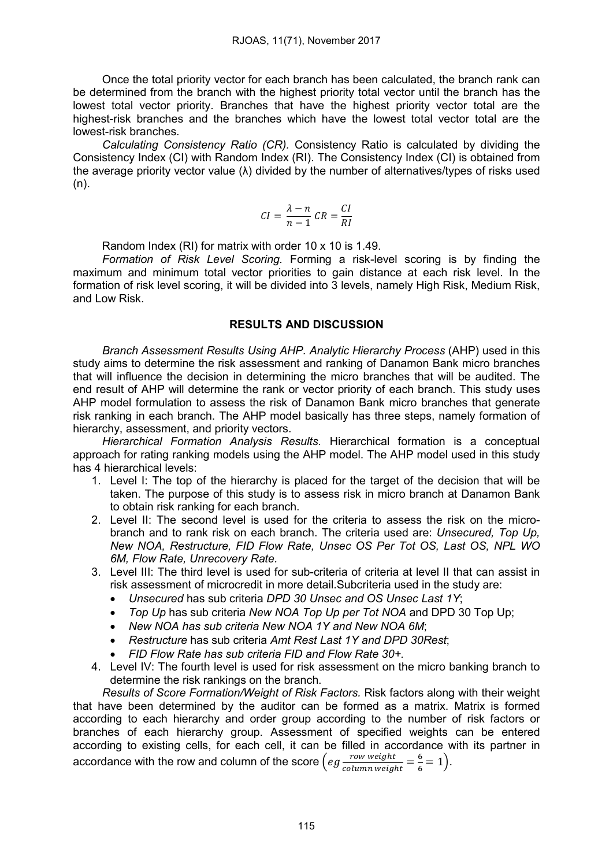Once the total priority vector for each branch has been calculated, the branch rank can be determined from the branch with the highest priority total vector until the branch has the lowest total vector priority. Branches that have the highest priority vector total are the highest-risk branches and the branches which have the lowest total vector total are the lowest-risk branches.

*Calculating Consistency Ratio (CR).* Consistency Ratio is calculated by dividing the Consistency Index (CI) with Random Index (RI). The Consistency Index (CI) is obtained from the average priority vector value (λ) divided by the number of alternatives/types of risks used (n).

$$
CI = \frac{\lambda - n}{n - 1} \, CR = \frac{CI}{RI}
$$

Random Index (RI) for matrix with order 10 x 10 is 1.49.

*Formation of Risk Level Scoring.* Forming a risk-level scoring is by finding the maximum and minimum total vector priorities to gain distance at each risk level. In the formation of risk level scoring, it will be divided into 3 levels, namely High Risk, Medium Risk, and Low Risk.

## RESULTS AND DISCUSSION

*Branch Assessment Results Using AHP. Analytic Hierarchy Process* (AHP) used in this study aims to determine the risk assessment and ranking of Danamon Bank micro branches that will influence the decision in determining the micro branches that will be audited. The end result of AHP will determine the rank or vector priority of each branch. This study uses AHP model formulation to assess the risk of Danamon Bank micro branches that generate risk ranking in each branch. The AHP model basically has three steps, namely formation of hierarchy, assessment, and priority vectors.

*Hierarchical Formation Analysis Results.* Hierarchical formation is a conceptual approach for rating ranking models using the AHP model. The AHP model used in this study has 4 hierarchical levels:

- 1. Level I: The top of the hierarchy is placed for the target of the decision that will be taken. The purpose of this study is to assess risk in micro branch at Danamon Bank to obtain risk ranking for each branch.
- 2. Level II: The second level is used for the criteria to assess the risk on the microbranch and to rank risk on each branch. The criteria used are: *Unsecured, Top Up, New NOA, Restructure, FID Flow Rate, Unsec OS Per Tot OS, Last OS, NPL WO 6M, Flow Rate, Unrecovery Rate.*
- 3. Level III: The third level is used for sub-criteria of criteria at level II that can assist in risk assessment of microcredit in more detail.Subcriteria used in the study are:
	- *Unsecured* has sub criteria *DPD 30 Unsec and OS Unsec Last 1Y*;
	- *Top Up* has sub criteria *New NOA Top Up per Tot NOA* and DPD 30 Top Up;
	- *New NOA has sub criteria New NOA 1Y and New NOA 6M*;
	- *Restructure* has sub criteria *Amt Rest Last 1Y and DPD 30Rest*;
	- *FID Flow Rate has sub criteria FID and Flow Rate 30+.*
- 4. Level IV: The fourth level is used for risk assessment on the micro banking branch to determine the risk rankings on the branch.

*Results of Score Formation/Weight of Risk Factors.* Risk factors along with their weight that have been determined by the auditor can be formed as a matrix. Matrix is formed according to each hierarchy and order group according to the number of risk factors or branches of each hierarchy group. Assessment of specified weights can be entered according to existing cells, for each cell, it can be filled in accordance with its partner in accordance with the row and column of the score  $\left( eg \frac{row \; weight}{column \; weight} = \frac{6}{6} = 1 \right)$ .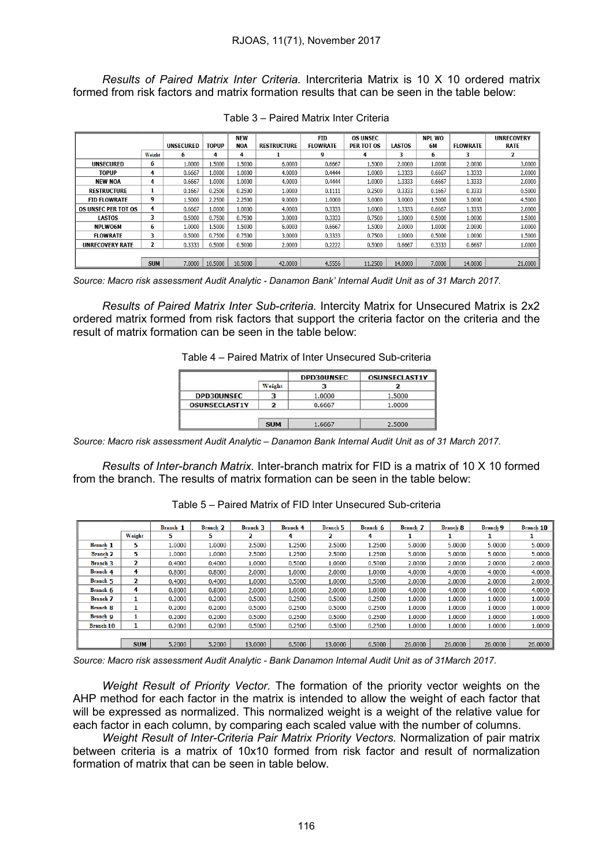*Results of Paired Matrix Inter Criteria.* Intercriteria Matrix is 10 X 10 ordered matrix formed from risk factors and matrix formation results that can be seen in the table below:

|                            |            | <b>UNSECURED</b> | TOPUP   | <b>NEW</b><br><b>NOA</b> | <b>RESTRUCTURE</b> | <b>FID</b><br><b>FLOWRATE</b> | <b>OS UNSEC</b><br>PER TOT OS | <b>LASTOS</b> | <b>NPL WO</b><br>6M | <b>FLOWRATE</b> | <b>UNRECOVERY</b><br><b>RATE</b> |
|----------------------------|------------|------------------|---------|--------------------------|--------------------|-------------------------------|-------------------------------|---------------|---------------------|-----------------|----------------------------------|
|                            | Weight     | 6                | 4       | 4                        |                    | 9                             | 4                             | 3             | 6                   | 3               | 2                                |
| <b>UNSECURED</b>           | 6          | 1.0000           | 1.5000  | 1.5000                   | 6.0000             | 0.6667                        | 1.5000                        | 2.0000        | 1.0000              | 2.0000          | 3.0000                           |
| TOPUP                      | 4          | 0.6667           | 1.0000  | 1.0000                   | 4.0000             | 0.4444                        | 1.0000                        | 1.3333        | 0.6667              | 1.3333          | 2.0000                           |
| <b>NEW NOA</b>             | 4          | 0.6667           | 1.0000  | 1.0000                   | 4.0000             | 0.4444                        | 1.0000                        | 1.3333        | 0.6667              | 1.3333          | 2.0000                           |
| <b>RESTRUCTURE</b>         | 1          | 0.1667           | 0.2500  | 0.2500                   | 1.0000             | 0.1111                        | 0.2500                        | 0.3333        | 0.1667              | 0.3333          | 0.5000                           |
| <b>FID FLOWRATE</b>        | 9          | 1.5000           | 2.2500  | 2.2500                   | 9.0000             | 1.0000                        | 3.0000                        | 3.0000        | 1.5000              | 3.0000          | 4.5000                           |
| <b>OS UNSEC PER TOT OS</b> | 4          | 0.6667           | 1.0000  | 1.0000                   | 4.0000             | 0.3333                        | 1.0000                        | 1.3333        | 0.6667              | 1.3333          | 2.0000                           |
| <b>LASTOS</b>              | 3          | 0.5000           | 0.7500  | 0.7500                   | 3.0000             | 0.3333                        | 0.7500                        | 1.0000        | 0.5000              | 1.0000          | 1.5000                           |
| <b>NPLWO6M</b>             | 6          | 1.0000           | 1.5000  | 1.5000                   | 6.0000             | 0.6667                        | 1.5000                        | 2.0000        | 1.0000              | 2.0000          | 3.0000                           |
| <b>FLOWRATE</b>            | 3          | 0.5000           | 0.7500  | 0.7500                   | 3.0000             | 0.3333                        | 0.7500                        | 1.0000        | 0.5000              | 1.0000          | 1.5000                           |
| <b>UNRECOVERY RATE</b>     | 2          | 0.3333           | 0.5000  | 0.5000                   | 2.0000             | 0.2222                        | 0.5000                        | 0.6667        | 0.3333              | 0.6667          | 1.0000                           |
|                            |            |                  |         |                          |                    |                               |                               |               |                     |                 |                                  |
|                            | <b>SUM</b> | 7.0000           | 10,5000 | 10,5000                  | 42,0000            | 4.5556                        | 11.2500                       | 14,0000       | 7.0000              | 14,0000         | 21.0000                          |

Table 3 – Paired Matrix Inter Criteria

*Source: Macro risk assessment Audit Analytic - Danamon Bank' Internal Audit Unit as of 31 March 2017.*

*Results of Paired Matrix Inter Sub-criteria.* Intercity Matrix for Unsecured Matrix is 2x2 ordered matrix formed from risk factors that support the criteria factor on the criteria and the result of matrix formation can be seen in the table below:

Table 4 – Paired Matrix of Inter Unsecured Sub-criteria

|                      |        | <b>DPD30UNSEC</b> | <b>OSUNSECLAST1Y</b> |
|----------------------|--------|-------------------|----------------------|
|                      | Weight |                   |                      |
| <b>DPD30UNSEC</b>    |        | 1.0000            | 1.5000               |
| <b>OSUNSECLAST1Y</b> |        | 0.6667            | 1.0000               |

*Source: Macro risk assessment Audit Analytic – Danamon Bank Internal Audit Unit as of 31 March 2017.*

*Results of Inter-branch Matrix.* Inter-branch matrix for FID is a matrix of 10 X 10 formed from the branch. The results of matrix formation can be seen in the table below:

| Table 5 – Paired Matrix of FID Inter Unsecured Sub-criteria |
|-------------------------------------------------------------|
|-------------------------------------------------------------|

|                  |                | Branch 1 | Branch 2 | <b>Branch 3</b> | <b>Branch 4</b> | <b>Branch 5</b> | Branch 6 | Branch 7 | <b>Branch 8</b> | <b>Branch 9</b> | <b>Branch 10</b> |
|------------------|----------------|----------|----------|-----------------|-----------------|-----------------|----------|----------|-----------------|-----------------|------------------|
|                  | Weight         | 5        | 5        | 2               | 4               | 2               | 4        | 1        |                 |                 | л.               |
| Branch 1         | 5              | 1.0000   | 1.0000   | 2.5000          | 1.2500          | 2.5000          | 1.2500   | 5.0000   | 5.0000          | 5.0000          | 5.0000           |
| <b>Branch 2</b>  | 5              | 1.0000   | 1.0000   | 2.5000          | 1.2500          | 2.5000          | 1.2500   | 5.0000   | 5.0000          | 5.0000          | 5.0000           |
| <b>Branch 3</b>  | $\mathbf{2}$   | 0.4000   | 0.4000   | 1.0000          | 0.5000          | 1.0000          | 0.5000   | 2.0000   | 2.0000          | 2.0000          | 2.0000           |
| Branch 4         | 4              | 0.8000   | 0.8000   | 2.0000          | 1.0000          | 2.0000          | 1.0000   | 4.0000   | 4.0000          | 4.0000          | 4.0000           |
| Branch 5         | $\overline{2}$ | 0.4000   | 0.4000   | 1.0000          | 0.5000          | 1.0000          | 0.5000   | 2.0000   | 2.0000          | 2.0000          | 2.0000           |
| Branch 6         | 4              | 0.8000   | 0.8000   | 2.0000          | 1.0000          | 2.0000          | 1.0000   | 4.0000   | 4.0000          | 4.0000          | 4.0000           |
| Branch 7         | 1              | 0.2000   | 0.2000   | 0.5000          | 0.2500          | 0.5000          | 0.2500   | 1.0000   | 1.0000          | 1.0000          | 1.0000           |
| <b>Branch 8</b>  | 1              | 0.2000   | 0.2000   | 0.5000          | 0.2500          | 0.5000          | 0.2500   | 1.0000   | 1.0000          | 1.0000          | 1.0000           |
| Branch 9         | 1              | 0.2000   | 0.2000   | 0.5000          | 0.2500          | 0.5000          | 0.2500   | 1.0000   | 1.0000          | 1.0000          | 1.0000           |
| <b>Branch 10</b> |                | 0.2000   | 0.2000   | 0.5000          | 0.2500          | 0.5000          | 0.2500   | 1.0000   | 1.0000          | 1.0000          | 1.0000           |
|                  |                |          |          |                 |                 |                 |          |          |                 |                 |                  |
|                  | <b>SUM</b>     | 5.2000   | 5.2000   | 13,0000         | 6.5000          | 13,0000         | 6.5000   | 26,0000  | 26,0000         | 26,0000         | 26.0000          |

*Source: Macro risk assessment Audit Analytic - Bank Danamon Internal Audit Unit as of 31March 2017.*

*Weight Result of Priority Vector.* The formation of the priority vector weights on the AHP method for each factor in the matrix is intended to allow the weight of each factor that will be expressed as normalized. This normalized weight is a weight of the relative value for each factor in each column, by comparing each scaled value with the number of columns.

*Weight Result of Inter-Criteria Pair Matrix Priority Vectors.* Normalization of pair matrix between criteria is a matrix of 10x10 formed from risk factor and result of normalization formation of matrix that can be seen in table below.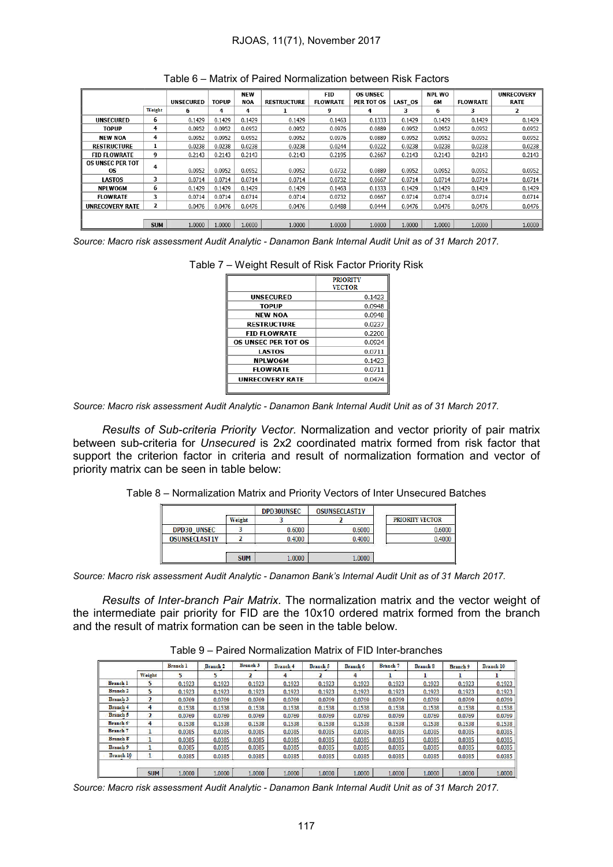|                         |            |                  |        | <b>NEW</b> |                    | <b>FID</b>      | <b>OS UNSEC</b> |         | <b>NPL WO</b> |                 | <b>UNRECOVERY</b> |
|-------------------------|------------|------------------|--------|------------|--------------------|-----------------|-----------------|---------|---------------|-----------------|-------------------|
|                         |            | <b>UNSECURED</b> | TOPUP  | <b>NOA</b> | <b>RESTRUCTURE</b> | <b>FLOWRATE</b> | PER TOT OS      | LAST OS | 6M            | <b>FLOWRATE</b> | <b>RATE</b>       |
|                         | Weight     | 6                | 4      | 4          |                    | 9               | 4               | з       | 6             | 3               | $\overline{2}$    |
| <b>UNSECURED</b>        | 6          | 0.1429           | 0.1429 | 0.1429     | 0.1429             | 0.1463          | 0.1333          | 0.1429  | 0.1429        | 0.1429          | 0.1429            |
| TOPUP                   | 4          | 0.0952           | 0.0952 | 0.0952     | 0.0952             | 0.0976          | 0.0889          | 0.0952  | 0.0952        | 0.0952          | 0.0952            |
| <b>NEW NOA</b>          | 4          | 0.0952           | 0.0952 | 0.0952     | 0.0952             | 0.0976          | 0.0889          | 0.0952  | 0.0952        | 0.0952          | 0.0952            |
| <b>RESTRUCTURE</b>      | 1          | 0.0238           | 0.0238 | 0.0238     | 0.0238             | 0.0244          | 0.0222          | 0.0238  | 0.0238        | 0.0238          | 0.0238            |
| <b>FID FLOWRATE</b>     | 9          | 0.2143           | 0.2143 | 0.2143     | 0.2143             | 0.2195          | 0.2667          | 0.2143  | 0.2143        | 0.2143          | 0.2143            |
| <b>OS UNSEC PER TOT</b> | 4          |                  |        |            |                    |                 |                 |         |               |                 |                   |
| <b>OS</b>               |            | 0.0952           | 0.0952 | 0.0952     | 0.0952             | 0.0732          | 0.0889          | 0.0952  | 0.0952        | 0.0952          | 0.0952            |
| <b>LASTOS</b>           | 3          | 0.0714           | 0.0714 | 0.0714     | 0.0714             | 0.0732          | 0.0667          | 0.0714  | 0.0714        | 0.0714          | 0.0714            |
| <b>NPLWO6M</b>          | 6          | 0.1429           | 0.1429 | 0.1429     | 0.1429             | 0.1463          | 0.1333          | 0.1429  | 0.1429        | 0.1429          | 0.1429            |
| <b>FLOWRATE</b>         | 3          | 0.0714           | 0.0714 | 0.0714     | 0.0714             | 0.0732          | 0.0667          | 0.0714  | 0.0714        | 0.0714          | 0.0714            |
| <b>UNRECOVERY RATE</b>  | 2          | 0.0476           | 0.0476 | 0.0476     | 0.0476             | 0.0488          | 0.0444          | 0.0476  | 0.0476        | 0.0476          | 0.0476            |
|                         |            |                  |        |            |                    |                 |                 |         |               |                 |                   |
|                         | <b>SUM</b> | 1.0000           | 1.0000 | 1.0000     | 1.0000             | 1.0000          | 1.0000          | 1.0000  | 1.0000        | 1.0000          | 1.0000            |

*Source: Macro risk assessment Audit Analytic - Danamon Bank Internal Audit Unit as of 31 March 2017.*

|                            | <b>PRIORITY</b><br><b>VECTOR</b> |
|----------------------------|----------------------------------|
| <b>UNSECURED</b>           | 0.1423                           |
| <b>TOPUP</b>               | 0.0948                           |
| <b>NEW NOA</b>             | 0.0948                           |
| <b>RESTRUCTURE</b>         | 0.0237                           |
| <b>FID FLOWRATE</b>        | 0.2200                           |
| <b>OS UNSEC PER TOT OS</b> | 0.0924                           |
| <b>LASTOS</b>              | 0.0711                           |
| <b>NPLWO6M</b>             | 0.1423                           |
| <b>FLOWRATE</b>            | 0.0711                           |
| <b>UNRECOVERY RATE</b>     | 0.0474                           |

Table 7 – Weight Result of Risk Factor Priority Risk

*Source: Macro risk assessment Audit Analytic - Danamon Bank Internal Audit Unit as of 31 March 2017.*

*Results of Sub-criteria Priority Vector.* Normalization and vector priority of pair matrix between sub-criteria for *Unsecured* is 2x2 coordinated matrix formed from risk factor that support the criterion factor in criteria and result of normalization formation and vector of priority matrix can be seen in table below:

Table 8 – Normalization Matrix and Priority Vectors of Inter Unsecured Batches

|                      | Weight | <b>DPD30UNSEC</b> | <b>OSUNSECLAST1Y</b> | PRIORITY VECTOR |
|----------------------|--------|-------------------|----------------------|-----------------|
| <b>DPD30 UNSEC</b>   |        | 0.6000            | 0.6000               | 0.6000          |
| <b>OSUNSECLAST1Y</b> |        | 0.4000            | 0.4000               | 0.4000          |

*Source: Macro risk assessment Audit Analytic - Danamon Bank's Internal Audit Unit as of 31 March 2017.*

*Results of Inter-branch Pair Matrix.* The normalization matrix and the vector weight of the intermediate pair priority for FID are the 10x10 ordered matrix formed from the branch and the result of matrix formation can be seen in the table below.

Table 9 – Paired Normalization Matrix of FID Inter-branches

|                  |                | <b>Branch 1</b> | <b>Branch 2</b> | <b>Branch 3</b> | <b>Branch 4</b> | <b>Branch 5</b> | <b>Branch 6</b> | <b>Branch</b> 7 | <b>Branch 8</b> | <b>Branch 9</b> | <b>Branch 10</b> |
|------------------|----------------|-----------------|-----------------|-----------------|-----------------|-----------------|-----------------|-----------------|-----------------|-----------------|------------------|
|                  | Weight         |                 | 5               | כ               | 4               |                 | 4               |                 |                 |                 |                  |
| <b>Branch 1</b>  | 5              | 0.1923          | 0.1923          | 0.1923          | 0.1923          | 0.1923          | 0.1923          | 0.1923          | 0.1923          | 0.1923          | 0.1923           |
| <b>Branch 2</b>  | 5              | 0.1923          | 0.1923          | 0.1923          | 0.1923          | 0.1923          | 0.1923          | 0.1923          | 0.1923          | 0.1923          | 0.1923           |
| <b>Branch 3</b>  | $\mathbf{z}$   | 0.0769          | 0.0769          | 0.0769          | 0.0769          | 0.0769          | 0.0769          | 0.0769          | 0.0769          | 0.0769          | 0.0769           |
| <b>Branch 4</b>  | 4              | 0.1538          | 0.1538          | 0.1538          | 0.1538          | 0.1538          | 0.1538          | 0.1538          | 0.1538          | 0.1538          | 0.1538           |
| <b>Branch 5</b>  | $\overline{ }$ | 0.0769          | 0.0769          | 0.0769          | 0.0769          | 0.0769          | 0.0769          | 0.0769          | 0.0769          | 0.0769          | 0.0769           |
| Branch 6         | 4              | 0.1538          | 0.1538          | 0.1538          | 0.1538          | 0.1538          | 0.1538          | 0.1538          | 0.1538          | 0.1538          | 0.1538           |
| <b>Branch 7</b>  |                | 0.0385          | 0.0385          | 0.0385          | 0.0385          | 0.0385          | 0.0385          | 0.0385          | 0.0385          | 0.0385          | 0.0385           |
| <b>Branch 8</b>  |                | 0.0385          | 0.0385          | 0.0385          | 0.0385          | 0.0385          | 0.0385          | 0.0385          | 0.0385          | 0.0385          | 0.0385           |
| Branch 9         |                | 0.0385          | 0.0385          | 0.0385          | 0.0385          | 0.0385          | 0.0385          | 0.0385          | 0.0385          | 0.0385          | 0.0385           |
| <b>Branch 10</b> |                | 0.0385          | 0.0385          | 0.0385          | 0.0385          | 0.0385          | 0.0385          | 0.0385          | 0.0385          | 0.0385          | 0.0385           |
|                  | <b>SUM</b>     | 1.0000          | 1.0000          | 1.0000          | 1.0000          | 1.0000          | 1.0000          | 1.0000          | 1.0000          | 1.0000          | 1.0000           |

*Source: Macro risk assessment Audit Analytic - Danamon Bank Internal Audit Unit as of 31 March 2017.*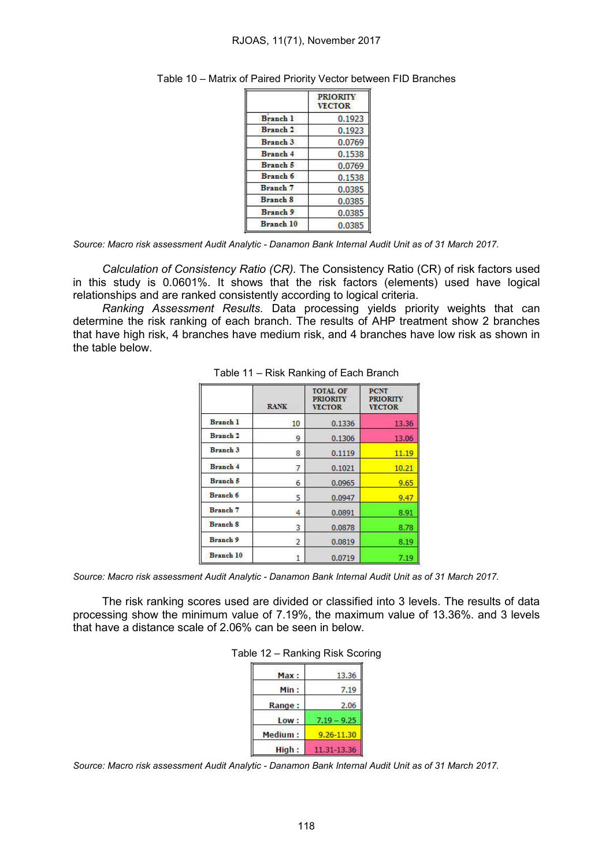|                  | <b>PRIORITY</b><br><b>VECTOR</b> |
|------------------|----------------------------------|
| <b>Branch 1</b>  | 0.1923                           |
| <b>Branch 2</b>  | 0.1923                           |
| <b>Branch 3</b>  | 0.0769                           |
| <b>Branch 4</b>  | 0.1538                           |
| Branch 5         | 0.0769                           |
| Branch 6         | 0.1538                           |
| <b>Branch</b> 7  | 0.0385                           |
| <b>Branch 8</b>  | 0.0385                           |
| <b>Branch 9</b>  | 0.0385                           |
| <b>Branch 10</b> | 0.0385                           |

| Table 10 - Matrix of Paired Priority Vector between FID Branches |  |  |  |  |
|------------------------------------------------------------------|--|--|--|--|
|                                                                  |  |  |  |  |

*Source: Macro risk assessment Audit Analytic - Danamon Bank Internal Audit Unit as of 31 March 2017.*

*Calculation of Consistency Ratio (CR).* The Consistency Ratio (CR) of risk factors used in this study is 0.0601%. It shows that the risk factors (elements) used have logical relationships and are ranked consistently according to logical criteria.

*Ranking Assessment Results.* Data processing yields priority weights that can determine the risk ranking of each branch. The results of AHP treatment show 2 branches that have high risk, 4 branches have medium risk, and 4 branches have low risk as shown in the table below.

|                     | <b>RANK</b>    | <b>TOTAL OF</b><br><b>PRIORITY</b><br><b>VECTOR</b> | <b>PCNT</b><br><b>PRIORITY</b><br><b>VECTOR</b> |
|---------------------|----------------|-----------------------------------------------------|-------------------------------------------------|
| <b>Branch 1</b>     | 10             | 0.1336                                              | 13.36                                           |
| Branch <sub>2</sub> | 9              | 0.1306                                              | 13.06                                           |
| <b>Branch 3</b>     | 8              | 0.1119                                              | 11.19                                           |
| <b>Branch 4</b>     | 7              | 0.1021                                              | 10.21                                           |
| <b>Branch 5</b>     | 6              | 0.0965                                              | 9.65                                            |
| <b>Branch 6</b>     | 5              | 0.0947                                              | 9.47                                            |
| Branch 7            | 4              | 0.0891                                              | 8.91                                            |
| <b>Branch 8</b>     | 3              | 0.0878                                              | 8.78                                            |
| <b>Branch 9</b>     | $\overline{2}$ | 0.0819                                              | 8.19                                            |
| <b>Branch 10</b>    |                | 0.0719                                              | 7.19                                            |

*Source: Macro risk assessment Audit Analytic - Danamon Bank Internal Audit Unit as of 31 March 2017.*

The risk ranking scores used are divided or classified into 3 levels. The results of data processing show the minimum value of 7.19%, the maximum value of 13.36%. and 3 levels that have a distance scale of 2.06% can be seen in below.

|  | Table 12 - Ranking Risk Scoring |  |  |
|--|---------------------------------|--|--|
|--|---------------------------------|--|--|

| Max:           | 13.36         |
|----------------|---------------|
| Min:           | 7.19          |
| Range:         | 2.06          |
| Low:           | $7.19 - 9.25$ |
| <b>Medium:</b> | 9.26-11.30    |
| High:          | 11.31-13.36   |

*Source: Macro risk assessment Audit Analytic - Danamon Bank Internal Audit Unit as of 31 March 2017.*